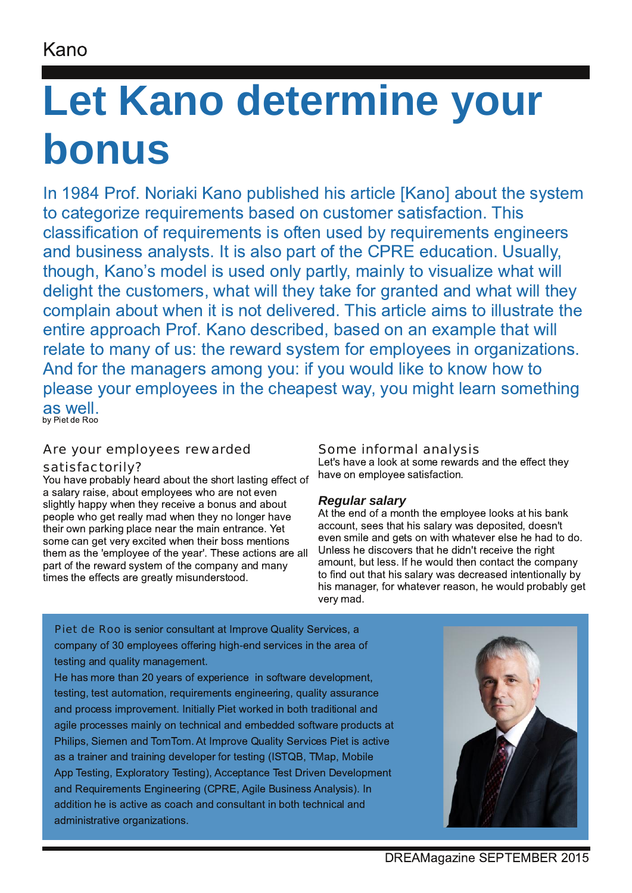## Kano

# **Let Kano determine your bonus**

In 1984 Prof. Noriaki Kano published his article [Kano] about the system to categorize requirements based on customer satisfaction. This classification of requirements is often used by requirements engineers and business analysts. It is also part of the CPRE education. Usually, though, Kano's model is used only partly, mainly to visualize what will delight the customers, what will they take for granted and what will they complain about when it is not delivered. This article aims to illustrate the entire approach Prof. Kano described, based on an example that will relate to many of us: the reward system for employees in organizations. And for the managers among you: if you would like to know how to please your employees in the cheapest way, you might learn something as well. by Piet de Roo

### Are your employees rewarded satisfactorily?

You have probably heard about the short lasting effect of a salary raise, about employees who are not even slightly happy when they receive a bonus and about people who get really mad when they no longer have their own parking place near the main entrance. Yet some can get very excited when their boss mentions them as the 'employee of the year'. These actions are all part of the reward system of the company and many times the effects are greatly misunderstood.

### Some informal analysis

Let's have a look at some rewards and the effect they have on employee satisfaction.

### *Regular salary*

At the end of a month the employee looks at his bank account, sees that his salary was deposited, doesn't even smile and gets on with whatever else he had to do. Unless he discovers that he didn't receive the right amount, but less. If he would then contact the company to find out that his salary was decreased intentionally by his manager, for whatever reason, he would probably get verv mad.

Piet de Roo is senior consultant at Improve Quality Services, a company of 30 employees offering high-end services in the area of testing and quality management.

He has more than 20 years of experience in software development, testing, test automation, requirements engineering, quality assurance and process improvement. Initially Piet worked in both traditional and agile processes mainly on technical and embedded software products at Philips, Siemen and TomTom. At Improve Quality Services Piet is active as a trainer and training developer for testing (ISTQB, TMap, Mobile App Testing, Exploratory Testing), Acceptance Test Driven Development and Requirements Engineering (CPRE, Agile Business Analysis). In addition he is active as coach and consultant in both technical and administrative organizations.

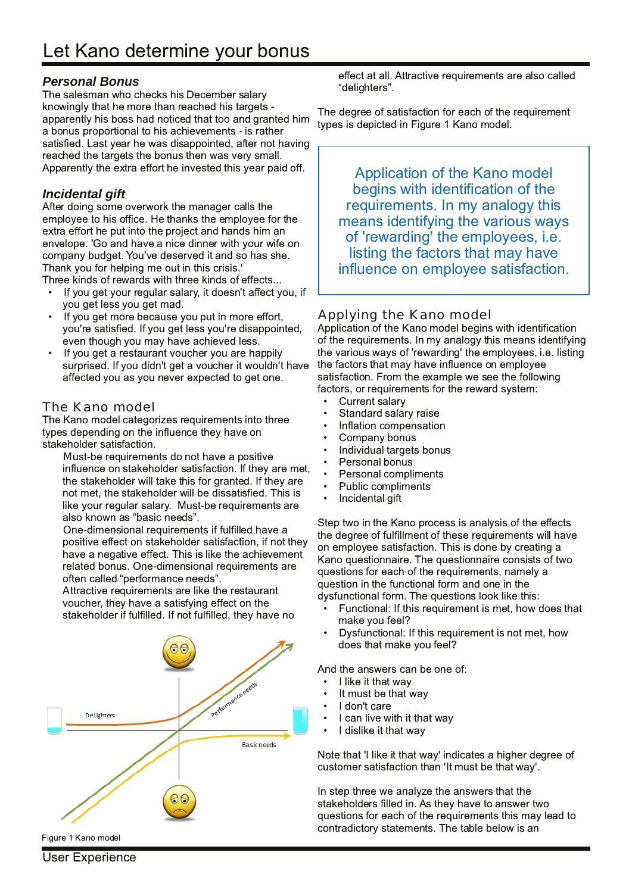#### *Personal Bonus*

The salesman who checks his December salary knowingly that he more than reached his targets apparently his boss had noticed that too and granted him a bonus proportional to his achievements - is rather satisfied. Last year he was disappointed, after not having reached the targets the bonus then was very small. Apparently the extra effort he invested this year paid off.

#### *Incidental gift*

After doing some overwork the manager calls the employee to his office. He thanks the employee for the extra effort he put into the project and hands him an envelope. 'Go and have a nice dinner with your wife on company budget. You've deserved it and so has she. Thank you for helping me out in this crisis.'

Three kinds of rewards with three kinds of effects...

- If you get your regular salary, it doesn't affect you, if you get less you get mad.
- If you get more because you put in more effort, you're satisfied. If you get less you're disappointed, even though you may have achieved less.
- If you get a restaurant voucher you are happily surprised. If you didn't get a voucher it wouldn't have affected you as you never expected to get one.

#### The Kano model

The Kano model categorizes requirements into three types depending on the influence they have on stakeholder satisfaction.

 $\mathbb N$ ust-be requirements do not have a positive influence on stakeholder satisfaction. If they are met, the stakeholder will take this for granted. If they are not met, the stakeholder will be dissatisfied. This is like your regular salary. Must-be requirements are also known as "basic needs".

 $\bigcirc$ ne-dimensional requirements if fulfilled have a positive effect on stakeholder satisfaction, if not they have a negative effect. This is like the achievement related bonus. One-dimensional requirements are often called "performance needs".

 $\wedge$  ttractive requirements are like the restaurant voucher, they have a satisfying effect on the stakeholder if fulfilled. If not fulfilled, they have no



effect at all. Attractive requirements are also called "delighters".

The degree of satisfaction for each of the requirement types is depicted in Figure 1 Kano model.

Application of the Kano model begins with identification of the requirements. In my analogy this means identifying the various ways of 'rewarding' the employees, i.e. listing the factors that may have influence on employee satisfaction.

### Applying the Kano model

Application of the Kano model begins with identification of the requirements. In my analogy this means identifying the various ways of 'rewarding' the employees, i.e. listing the factors that may have influence on employee satisfaction. From the example we see the following factors, or requirements for the reward system:

- Current salary
- Standard salary raise
- $\cdot$  Inflation compensation
- Company bonus
- Individual targets bonus
- Personal bonus
- Personal compliments<br>• Public compliments
- Public compliments
- Incidental gift

Step two in the Kano process is analysis of the effects the degree of fulfillment of these requirements will have on employee satisfaction. This is done by creating a Kano questionnaire. The questionnaire consists of two questions for each of the requirements, namely a question in the functional form and one in the dysfunctional form. The questions look like this:

- Functional: If this requirement is met, how does that make you feel?
- Dysfunctional: If this requirement is not met, how does that make you feel?

And the answers can be one of:

- I like it that way
- It must be that way
- I don't care
- I can live with it that way
- I dislike it that way

Note that 'I like it that way' indicates a higher degree of customer satisfaction than 'It must be that way'.

In step three we analyze the answers that the stakeholders filled in. As they have to answer two questions for each of the requirements this may lead to contradictory statements. The table below is an

Figure 1 Kano model